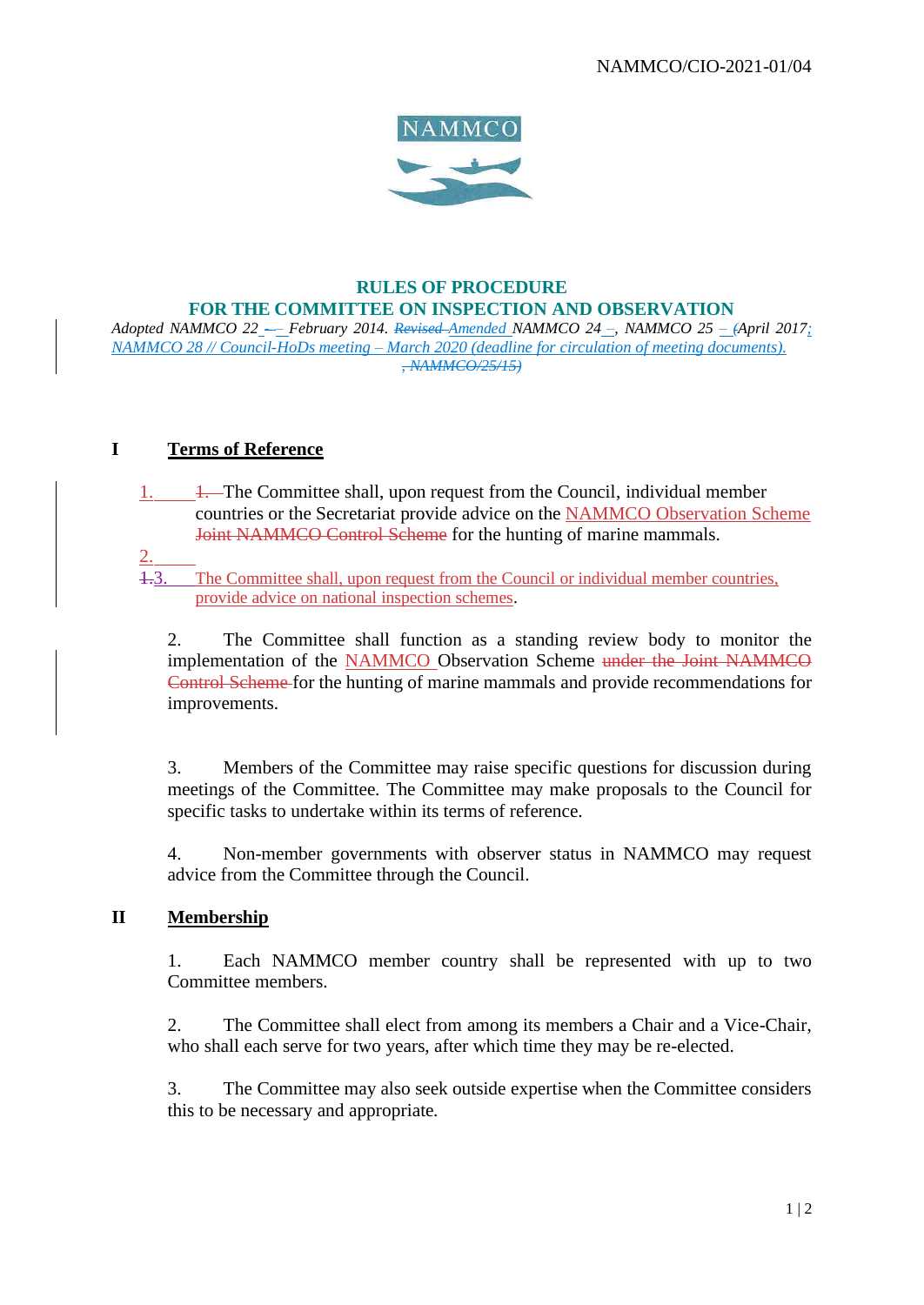

# **RULES OF PROCEDURE FOR THE COMMITTEE ON INSPECTION AND OBSERVATION**

*Adopted NAMMCO 22 - – February 2014. Revised Amended NAMMCO 24 –, NAMMCO 25 – (April 2017; NAMMCO 28 // Council-HoDs meeting – March 2020 (deadline for circulation of meeting documents). , NAMMCO/25/15)*

#### **I Terms of Reference**

- 1. 1. The Committee shall, upon request from the Council, individual member countries or the Secretariat provide advice on the NAMMCO Observation Scheme Joint NAMMCO Control Scheme for the hunting of marine mammals.
- 2.

1.3. The Committee shall, upon request from the Council or individual member countries, provide advice on national inspection schemes.

2. The Committee shall function as a standing review body to monitor the implementation of the NAMMCO Observation Scheme under the Joint NAMMCO Control Scheme for the hunting of marine mammals and provide recommendations for improvements.

3. Members of the Committee may raise specific questions for discussion during meetings of the Committee. The Committee may make proposals to the Council for specific tasks to undertake within its terms of reference.

4. Non-member governments with observer status in NAMMCO may request advice from the Committee through the Council.

## **II Membership**

1. Each NAMMCO member country shall be represented with up to two Committee members.

2. The Committee shall elect from among its members a Chair and a Vice-Chair, who shall each serve for two years, after which time they may be re-elected.

3. The Committee may also seek outside expertise when the Committee considers this to be necessary and appropriate.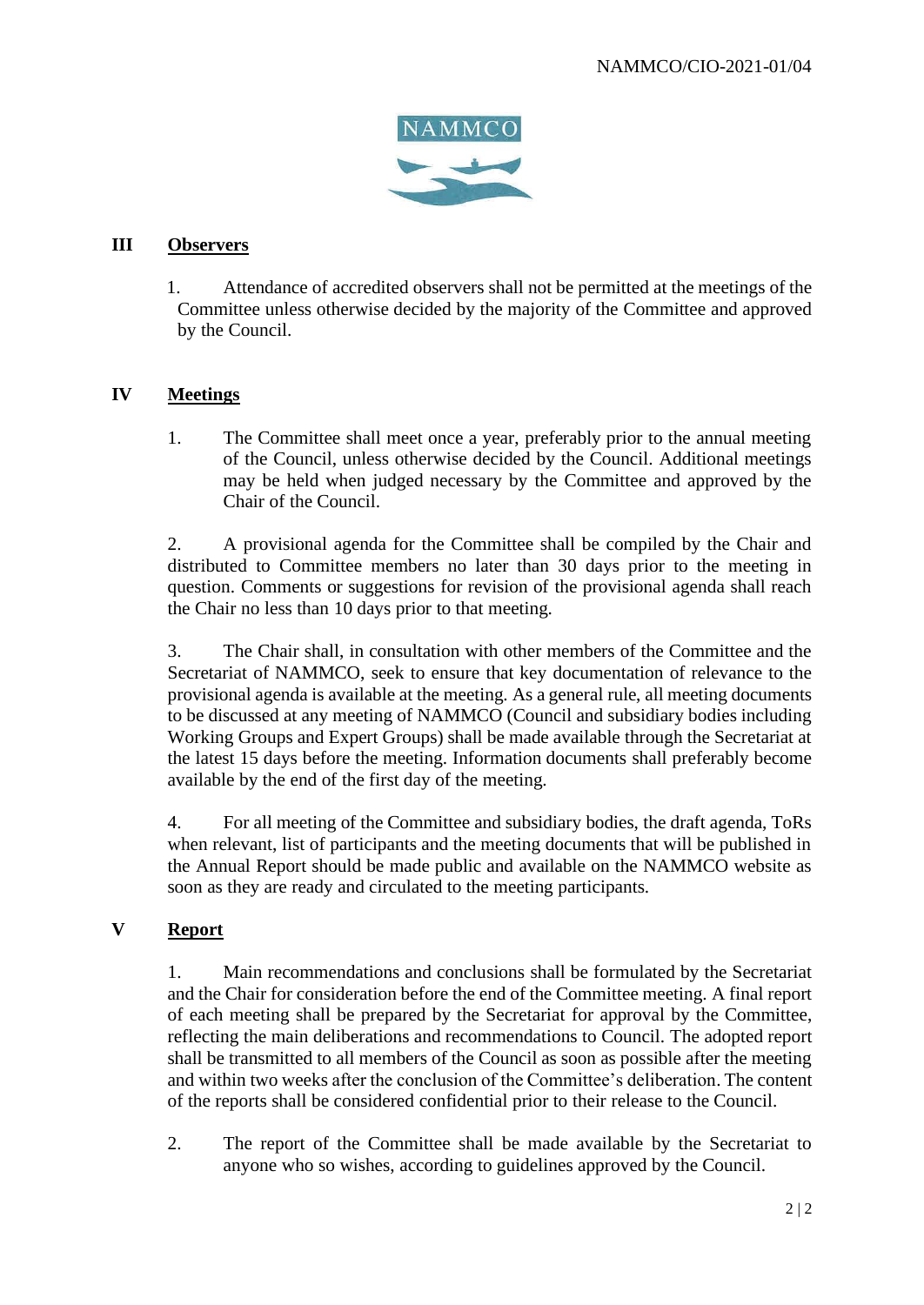

#### **III Observers**

1. Attendance of accredited observers shall not be permitted at the meetings of the Committee unless otherwise decided by the majority of the Committee and approved by the Council.

#### **IV Meetings**

1. The Committee shall meet once a year, preferably prior to the annual meeting of the Council, unless otherwise decided by the Council. Additional meetings may be held when judged necessary by the Committee and approved by the Chair of the Council.

2. A provisional agenda for the Committee shall be compiled by the Chair and distributed to Committee members no later than 30 days prior to the meeting in question. Comments or suggestions for revision of the provisional agenda shall reach the Chair no less than 10 days prior to that meeting.

3. The Chair shall, in consultation with other members of the Committee and the Secretariat of NAMMCO, seek to ensure that key documentation of relevance to the provisional agenda is available at the meeting. As a general rule, all meeting documents to be discussed at any meeting of NAMMCO (Council and subsidiary bodies including Working Groups and Expert Groups) shall be made available through the Secretariat at the latest 15 days before the meeting. Information documents shall preferably become available by the end of the first day of the meeting.

4. For all meeting of the Committee and subsidiary bodies, the draft agenda, ToRs when relevant, list of participants and the meeting documents that will be published in the Annual Report should be made public and available on the NAMMCO website as soon as they are ready and circulated to the meeting participants.

#### **V Report**

1. Main recommendations and conclusions shall be formulated by the Secretariat and the Chair for consideration before the end of the Committee meeting. A final report of each meeting shall be prepared by the Secretariat for approval by the Committee, reflecting the main deliberations and recommendations to Council. The adopted report shall be transmitted to all members of the Council as soon as possible after the meeting and within two weeks after the conclusion of the Committee's deliberation. The content of the reports shall be considered confidential prior to their release to the Council.

2. The report of the Committee shall be made available by the Secretariat to anyone who so wishes, according to guidelines approved by the Council.